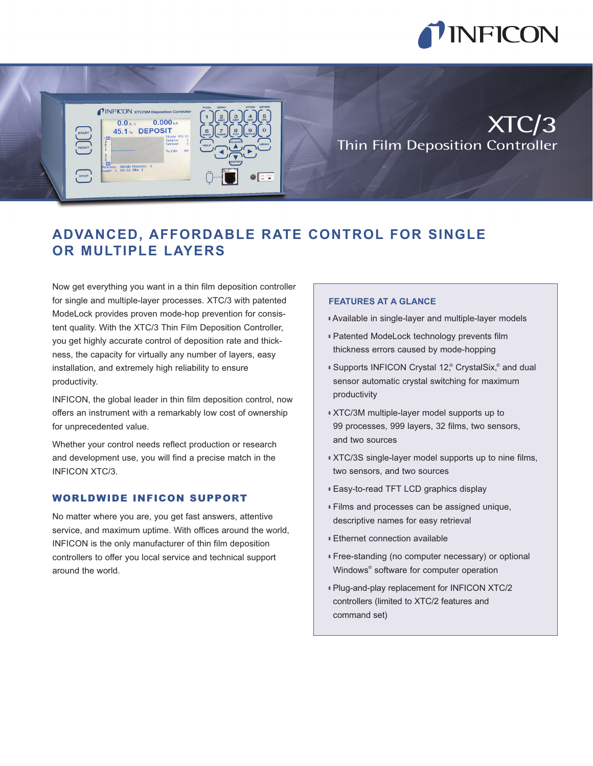

XTC/3

# **ADVANCED, AFFORDABLE RATE CONTROL FOR SINGLE OR MULTIPLE LAYERS**

Now get everything you want in a thin film deposition controller for single and multiple-layer processes. XTC/3 with patented ModeLock provides proven mode-hop prevention for consistent quality. With the XTC/3 Thin Film Deposition Controller, you get highly accurate control of deposition rate and thickness, the capacity for virtually any number of layers, easy installation, and extremely high reliability to ensure productivity.

**TINFICON** xTO

 $0.0$  A/s 45.1% DEPOSIT

 $00:00$  Process

 $0.000<sub>K</sub>$ 

INFICON, the global leader in thin film deposition control, now offers an instrument with a remarkably low cost of ownership for unprecedented value.

Whether your control needs reflect production or research and development use, you will find a precise match in the INFICON XTC/3.

### WORLDWIDE INFICON SUPPORT

No matter where you are, you get fast answers, attentive service, and maximum uptime. With offices around the world, INFICON is the only manufacturer of thin film deposition controllers to offer you local service and technical support around the world.

#### **FEATURES AT A GLANCE**

■ Available in single-layer and multiple-layer models

Thin Film Deposition Controller

- Patented ModeLock technology prevents film thickness errors caused by mode-hopping
- Supports INFICON Crystal 12,<sup>®</sup> CrystalSix,<sup>®</sup> and dual sensor automatic crystal switching for maximum productivity
- XTC/3M multiple-layer model supports up to 99 processes, 999 layers, 32 films, two sensors, and two sources
- XTC/3S single-layer model supports up to nine films, two sensors, and two sources
- Easy-to-read TFT LCD graphics display
- Films and processes can be assigned unique, descriptive names for easy retrieval
- Ethernet connection available
- Free-standing (no computer necessary) or optional Windows® software for computer operation
- Plug-and-play replacement for INFICON XTC/2 controllers (limited to XTC/2 features and command set)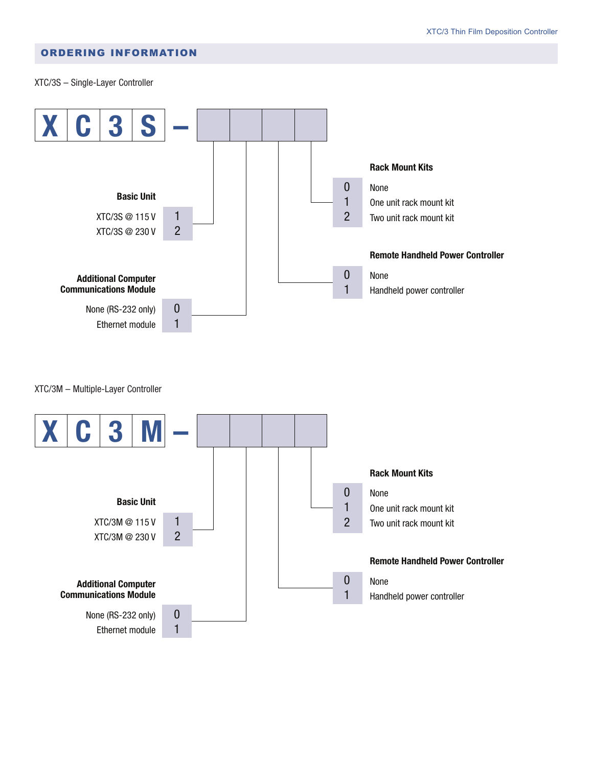## ORDERING INFORMATION

XTC/3S – Single-Layer Controller



XTC/3M – Multiple-Layer Controller